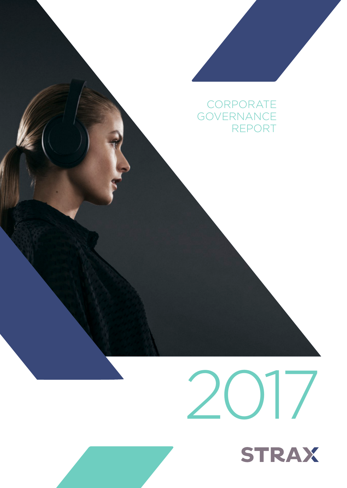## **CORPORATE** GOVERNANCE REPORT

# 2017 **STRAX**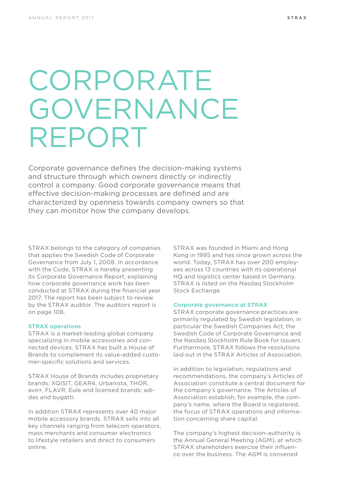# CORPORATE GOVERNANCE REPORT

Corporate governance defines the decision-making systems and structure through which owners directly or indirectly control a company. Good corporate governance means that effective decision-making processes are defined and are characterized by openness towards company owners so that they can monitor how the company develops.

STRAX belongs to the category of companies that applies the Swedish Code of Corporate Governance from July 1, 2008. In accordance with the Code, STRAX is hereby presenting its Corporate Governance Report, explaining how corporate governance work has been conducted at STRAX during the financial year 2017. The report has been subject to review by the STRAX auditor. The auditors report is on page 108.

#### **STRAX operations**

STRAX is a market-leading global company specializing in mobile accessories and connected devices. STRAX has built a House of Brands to complement its value-added customer-specific solutions and services.

STRAX House of Brands includes proprietary brands: XQISIT, GEAR4, Urbanista, THOR, avo+, FLAVR, Eule and licensed brands: adidas and bugatti.

In addition STRAX represents over 40 major mobile accessory brands. STRAX sells into all key channels ranging from telecom operators, mass merchants and consumer electronics to lifestyle retailers and direct to consumers online.

STRAX was founded in Miami and Hong Kong in 1995 and has since grown across the world. Today, STRAX has over 200 employees across 13 countries with its operational HQ and logistics center based in Germany. STRAX is listed on the Nasdaq Stockholm Stock Exchange.

#### **Corporate governance at STRAX**

STRAX corporate governance practices are primarily regulated by Swedish legislation, in particular the Swedish Companies Act, the Swedish Code of Corporate Governance and the Nasdaq Stockholm Rule Book for Issuers. Furthermore, STRAX follows the resolutions laid out in the STRAX Articles of Association.

In addition to legislation, regulations and recommendations, the company's Articles of Association constitute a central document for the company's governance. The Articles of Association establish, for example, the company's name, where the Board is registered, the focus of STRAX operations and information concerning share capital.

The company's highest decision-authority is the Annual General Meeting (AGM), at which STRAX shareholders exercise their influence over the business. The AGM is convened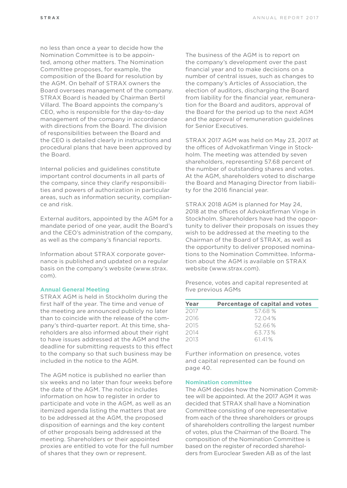no less than once a year to decide how the Nomination Committee is to be appointed, among other matters. The Nomination Committee proposes, for example, the composition of the Board for resolution by the AGM. On behalf of STRAX owners the Board oversees management of the company. STRAX Board is headed by Chairman Bertil Villard. The Board appoints the company's CEO, who is responsible for the day-to-day management of the company in accordance with directions from the Board. The division of responsibilities between the Board and the CEO is detailed clearly in instructions and procedural plans that have been approved by the Board.

Internal policies and guidelines constitute important control documents in all parts of the company, since they clarify responsibilities and powers of authorization in particular areas, such as information security, compliance and risk.

External auditors, appointed by the AGM for a mandate period of one year, audit the Board's and the CEO's administration of the company, as well as the company's financial reports.

Information about STRAX corporate governance is published and updated on a regular basis on the company's website (www.strax. com).

#### **Annual General Meeting**

STRAX AGM is held in Stockholm during the first half of the year. The time and venue of the meeting are announced publicly no later than to coincide with the release of the company's third-quarter report. At this time, shareholders are also informed about their right to have issues addressed at the AGM and the deadline for submitting requests to this effect to the company so that such business may be included in the notice to the AGM.

The AGM notice is published no earlier than six weeks and no later than four weeks before the date of the AGM. The notice includes information on how to register in order to participate and vote in the AGM, as well as an itemized agenda listing the matters that are to be addressed at the AGM, the proposed disposition of earnings and the key content of other proposals being addressed at the meeting. Shareholders or their appointed proxies are entitled to vote for the full number of shares that they own or represent.

The business of the AGM is to report on the company's development over the past financial year and to make decisions on a number of central issues, such as changes to the company's Articles of Association, the election of auditors, discharging the Board from liability for the financial year, remuneration for the Board and auditors, approval of the Board for the period up to the next AGM and the approval of remuneration guidelines for Senior Executives.

STRAX 2017 AGM was held on May 23, 2017 at the offices of Advokatfirman Vinge in Stockholm. The meeting was attended by seven shareholders, representing 57.68 percent of the number of outstanding shares and votes. At the AGM, shareholders voted to discharge the Board and Managing Director from liability for the 2016 financial year.

STRAX 2018 AGM is planned for May 24, 2018 at the offices of Advokatfirman Vinge in Stockholm. Shareholders have had the opportunity to deliver their proposals on issues they wish to be addressed at the meeting to the Chairman of the Board of STRAX, as well as the opportunity to deliver proposed nominations to the Nomination Committee. Information about the AGM is available on STRAX website (www.strax.com).

Presence, votes and capital represented at five previous AGMs

| Year | Percentage of capital and votes |
|------|---------------------------------|
| 2017 | 57.68 %                         |
| 2016 | 72.04%                          |
| 2015 | 52.66%                          |
| 2014 | 63.73%                          |
| 2013 | 61.41%                          |

Further information on presence, votes and capital represented can be found on page 40.

#### **Nomination committee**

The AGM decides how the Nomination Committee will be appointed. At the 2017 AGM it was decided that STRAX shall have a Nomination Committee consisting of one representative from each of the three shareholders or groups of shareholders controlling the largest number of votes, plus the Chairman of the Board. The composition of the Nomination Committee is based on the register of recorded shareholders from Euroclear Sweden AB as of the last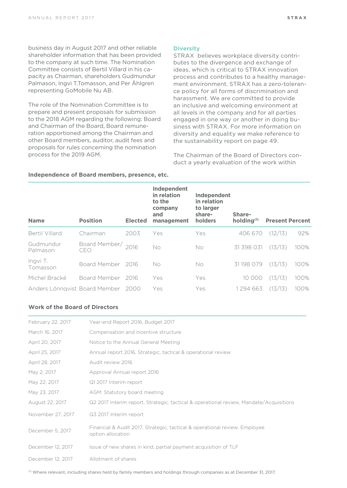business day in August 2017 and other reliable shareholder information that has been provided to the company at such time. The Nomination Committee consists of Bertil Villard in his capacity as Chairman, shareholders Gudmundur Palmason, Ingvi T.Tomasson, and Per Åhlgren representing GoMobile Nu AB.

The role of the Nomination Committee is to prepare and present proposals for submission to the 2018 AGM regarding the following: Board and Chairman of the Board, Board remuneration apportioned among the Chairman and other Board members, auditor, audit fees and proposals for rules concerning the nomination process for the 2019 AGM.

#### **Diversity**

STRAX believes workplace diversity contributes to the divergence and exchange of ideas, which is critical to STRAX innovation process and contributes to a healthy management environment. STRAX has a zero-tolerance policy for all forms of discrimination and harassment. We are committed to provide an inclusive and welcoming environment at all levels in the company and for all parties engaged in one way or another in doing business with STRAX. For more information on diversity and equality we make reference to the sustainability report on page 49.

The Chairman of the Board of Directors conduct a yearly evaluation of the work within

| <b>Name</b>                   | <b>Position</b>           | Elected | Independent<br>in relation<br>to the<br>company<br>and<br>management | Independent<br>in relation<br>to larger<br>share-<br>holders | Share-<br>holding <sup>(1)</sup> | <b>Present Percent</b> |      |
|-------------------------------|---------------------------|---------|----------------------------------------------------------------------|--------------------------------------------------------------|----------------------------------|------------------------|------|
| Bertil Villard                | Chairman                  | 2003    | Yes                                                                  | Yes                                                          | 406 670                          | (12/13)                | 92%  |
| Gudmundur<br>Palmason         | Board Member/ 2016<br>CEO |         | No                                                                   | No                                                           | 31 398 031                       | (13/13)                | 100% |
| Ingvi T.<br>Tomasson          | Board Member              | 2016    | No.                                                                  | No                                                           | 31 198 079                       | (13/13)                | 100% |
| Michel Bracké                 | Board Member              | 2016    | Yes                                                                  | Yes                                                          | 10 000                           | (13/13)                | 100% |
| Anders Lönnavist Board Member |                           | -2000   | Yes                                                                  | Yes                                                          | 1294663                          | (13/13)                | 100% |

#### **Independence of Board members, presence, etc.**

#### **Work of the Board of Directors**

| February 22, 2017 | Year-end Report 2016, Budget 2017                                                               |
|-------------------|-------------------------------------------------------------------------------------------------|
| March 16, 2017    | Compensation and incentive structure                                                            |
| April 20, 2017    | Notice to the Annual General Meeting                                                            |
| April 25, 2017    | Annual report 2016, Strategic, tactical & operational review                                    |
| April 28, 2017    | Audit review 2016                                                                               |
| May 2, 2017       | Approval Annual report 2016                                                                     |
| May 22, 2017      | Q1 2017 Interim report                                                                          |
| May 23, 2017      | AGM: Statutory board meeting                                                                    |
| August 22, 2017   | Q2 2017 Interim report, Strategic, tactical & operational review, Mandate/Acquisitions          |
| November 27, 2017 | Q3 2017 Interim report                                                                          |
| December 5, 2017  | Financial & Audit 2017, Strategic, tactical & operational review, Employee<br>option allocation |
| December 12, 2017 | Issue of new shares in kind, partial payment acquisition of TLF                                 |
| December 12, 2017 | Allotment of shares                                                                             |

 $0$  Where relevant, including shares held by family members and holdings through companies as at December 31, 2017.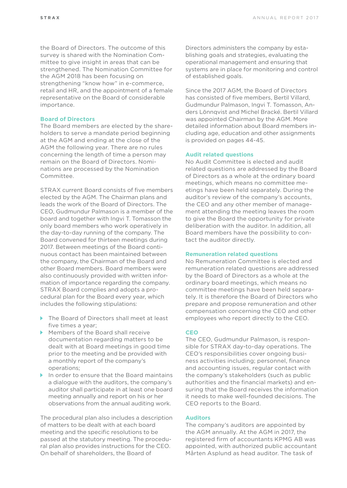the Board of Directors. The outcome of this survey is shared with the Nomination Committee to give insight in areas that can be strengthened. The Nomination Committee for the AGM 2018 has been focusing on strengthening "know how" in e-commerce, retail and HR, and the appointment of a female representative on the Board of considerable importance.

#### **Board of Directors**

The Board members are elected by the shareholders to serve a mandate period beginning at the AGM and ending at the close of the AGM the following year. There are no rules concerning the length of time a person may remain on the Board of Directors. Nominations are processed by the Nomination Committee.

STRAX current Board consists of five members elected by the AGM. The Chairman plans and leads the work of the Board of Directors. The CEO, Gudmundur Palmason is a member of the board and together with Ingvi T. Tomasson the only board members who work operatively in the day-to-day running of the company. The Board convened for thirteen meetings during 2017. Between meetings of the Board continuous contact has been maintained between the company, the Chairman of the Board and other Board members. Board members were also continuously provided with written information of importance regarding the company. STRAX Board complies and adopts a procedural plan for the Board every year, which includes the following stipulations:

- ▶ The Board of Directors shall meet at least five times a year;
- Members of the Board shall receive documentation regarding matters to be dealt with at Board meetings in good time prior to the meeting and be provided with a monthly report of the company's operations;
- In order to ensure that the Board maintains a dialogue with the auditors, the company's auditor shall participate in at least one board meeting annually and report on his or her observations from the annual auditing work.

The procedural plan also includes a description of matters to be dealt with at each board meeting and the specific resolutions to be passed at the statutory meeting. The procedural plan also provides instructions for the CEO. On behalf of shareholders, the Board of

Directors administers the company by establishing goals and strategies, evaluating the operational management and ensuring that systems are in place for monitoring and control of established goals.

Since the 2017 AGM, the Board of Directors has consisted of five members, Bertil Villard, Gudmundur Palmason, Ingvi T. Tomasson, Anders Lönnqvist and Michel Bracké. Bertil Villard was appointed Chairman by the AGM. More detailed information about Board members including age, education and other assignments is provided on pages 44-45.

#### **Audit related questions**

No Audit Committee is elected and audit related questions are addressed by the Board of Directors as a whole at the ordinary board meetings, which means no committee meetings have been held separately. During the auditor's review of the company's accounts, the CEO and any other member of management attending the meeting leaves the room to give the Board the opportunity for private deliberation with the auditor. In addition, all Board members have the possibility to contact the auditor directly.

#### **Remuneration related questions**

No Remuneration Committee is elected and remuneration related questions are addressed by the Board of Directors as a whole at the ordinary board meetings, which means no committee meetings have been held separately. It is therefore the Board of Directors who prepare and propose remuneration and other compensation concerning the CEO and other employees who report directly to the CEO.

#### **CEO**

The CEO, Gudmundur Palmason, is responsible for STRAX day-to-day operations. The CEO's responsibilities cover ongoing business activities including; personnel, finance and accounting issues, regular contact with the company's stakeholders (such as public authorities and the financial markets) and ensuring that the Board receives the information it needs to make well-founded decisions. The CEO reports to the Board.

#### **Auditors**

The company's auditors are appointed by the AGM annually. At the AGM in 2017, the registered firm of accountants KPMG AB was appointed, with authorized public accountant Mårten Asplund as head auditor. The task of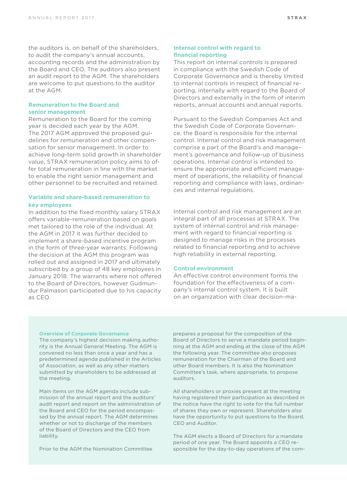the auditors is, on behalf of the shareholders, to audit the company's annual accounts, accounting records and the administration by the Board and CEO. The auditors also present an audit report to the AGM. The shareholders are welcome to put questions to the auditor at the AGM.

#### **Remuneration to the Board and senior management**

Remuneration to the Board for the coming year is decided each year by the AGM. The 2017 AGM approved the proposed guidelines for remuneration and other compensation for senior management. In order to achieve long-term solid growth in shareholder value, STRAX remuneration policy aims to offer total remuneration in line with the market to enable the right senior management and other personnel to be recruited and retained.

#### **Variable and share-based remuneration to key employees**

In addition to the fixed monthly salary STRAX offers variable-remuneration based on goals met tailored to the role of the individual. At the AGM in 2017 it was further decided to implement a share-based incentive program in the form of three-year warrants. Following the decision at the AGM this program was rolled out and assigned in 2017 and ultimately subscribed by a group of 48 key employees in January 2018. The warrants where not offered to the Board of Directors, however Gudmundur Palmason participated due to his capacity as CEO.

#### **Internal control with regard to financial reporting**

This report on internal controls is prepared in compliance with the Swedish Code of Corporate Governance and is thereby limited to internal controls in respect of financial reporting, internally with regard to the Board of Directors and externally in the form of interim reports, annual accounts and annual reports.

Pursuant to the Swedish Companies Act and the Swedish Code of Corporate Governance, the Board is responsible for the internal control. Internal control and risk management comprise a part of the Board's and management's governance and follow-up of business operations. Internal control is intended to ensure the appropriate and efficient management of operations, the reliability of financial reporting and compliance with laws, ordinances and internal regulations.

Internal control and risk management are an integral part of all processes at STRAX. The system of internal control and risk management with regard to financial reporting is designed to manage risks in the processes related to financial reporting and to achieve high reliability in external reporting.

#### **Control environment**

An effective control environment forms the foundation for the effectiveness of a company's internal control system. It is built on an organization with clear decision-ma-

#### **Overview of Corporate Governance**

The company's highest decision making authority is the Annual General Meeting. The AGM is convened no less than once a year and has a predetermined agenda published in the Articles of Association, as well as any other matters submitted by shareholders to be addressed at the meeting.

Main items on the AGM agenda include submission of the annual report and the auditors' audit report and report on the administration of the Board and CEO for the period encompassed by the annual report. The AGM determines whether or not to discharge of the members of the Board of Directors and the CEO from liability.

Prior to the AGM the Nomination Committee

prepares a proposal for the composition of the Board of Directors to serve a mandate period beginning at the AGM and ending at the close of the AGM the following year. The committee also proposes remuneration for the Chairman of the Board and other Board members. It is also the Nomination Committee's task, where appropriate, to propose auditors.

All shareholders or proxies present at the meeting having registered their participation as described in the notice have the right to vote for the full number of shares they own or represent. Shareholders also have the opportunity to put questions to the Board, CEO and Auditor.

The AGM elects a Board of Directors for a mandate period of one year. The Board appoints a CEO responsible for the day-to-day operations of the com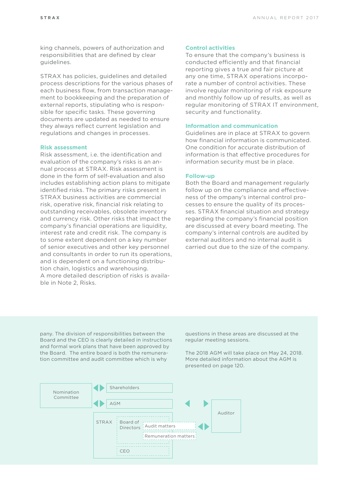king channels, powers of authorization and responsibilities that are defined by clear guidelines.

STRAX has policies, guidelines and detailed process descriptions for the various phases of each business flow, from transaction management to bookkeeping and the preparation of external reports, stipulating who is responsible for specific tasks. These governing documents are updated as needed to ensure they always reflect current legislation and regulations and changes in processes.

#### **Risk assessment**

Risk assessment, i.e. the identification and evaluation of the company's risks is an annual process at STRAX. Risk assessment is done in the form of self-evaluation and also includes establishing action plans to mitigate identified risks. The primary risks present in STRAX business activities are commercial risk, operative risk, financial risk relating to outstanding receivables, obsolete inventory and currency risk. Other risks that impact the company's financial operations are liquidity, interest rate and credit risk. The company is to some extent dependent on a key number of senior executives and other key personnel and consultants in order to run its operations, and is dependent on a functioning distribution chain, logistics and warehousing. A more detailed description of risks is available in Note 2, Risks.

#### **Control activities**

To ensure that the company's business is conducted efficiently and that financial reporting gives a true and fair picture at any one time, STRAX operations incorporate a number of control activities. These involve regular monitoring of risk exposure and monthly follow up of results, as well as regular monitoring of STRAX IT environment, security and functionality.

#### **Information and communication**

Guidelines are in place at STRAX to govern how financial information is communicated. One condition for accurate distribution of information is that effective procedures for information security must be in place.

#### **Follow-up**

Both the Board and management regularly follow up on the compliance and effectiveness of the ompany's internal control processes to ensure the quality of its processes. STRAX financial situation and strategy regarding the company's financial position are discussed at every board meeting. The company's internal controls are audited by external auditors and no internal audit is carried out due to the size of the company.

pany. The division of responsibilities between the Board and the CEO is clearly detailed in instructions and formal work plans that have been approved by the Board. The entire board is both the remuneration committee and audit committee which is why

questions in these areas are discussed at the regular meeting sessions.

The 2018 AGM will take place on May 24, 2018. More detailed information about the AGM is presented on page 120.